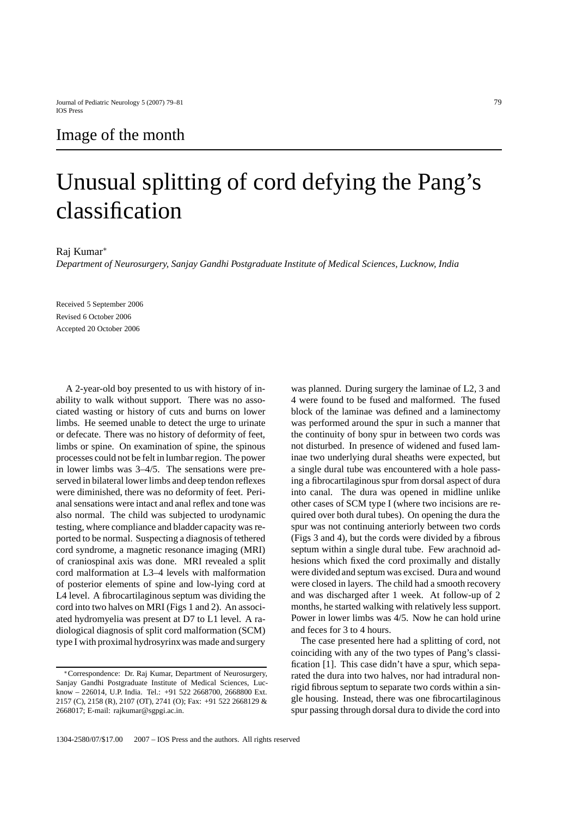## Image of the month

## Unusual splitting of cord defying the Pang's classification

## Raj Kumar∗

*Department of Neurosurgery, Sanjay Gandhi Postgraduate Institute of Medical Sciences, Lucknow, India*

Received 5 September 2006 Revised 6 October 2006 Accepted 20 October 2006

A 2-year-old boy presented to us with history of inability to walk without support. There was no associated wasting or history of cuts and burns on lower limbs. He seemed unable to detect the urge to urinate or defecate. There was no history of deformity of feet, limbs or spine. On examination of spine, the spinous processes could not be felt in lumbar region. The power in lower limbs was 3–4/5. The sensations were preserved in bilateral lower limbs and deep tendon reflexes were diminished, there was no deformity of feet. Perianal sensations were intact and anal reflex and tone was also normal. The child was subjected to urodynamic testing, where compliance and bladder capacity was reported to be normal. Suspecting a diagnosis of tethered cord syndrome, a magnetic resonance imaging (MRI) of craniospinal axis was done. MRI revealed a split cord malformation at L3–4 levels with malformation of posterior elements of spine and low-lying cord at L4 level. A fibrocartilaginous septum was dividing the cord into two halves on MRI (Figs 1 and 2). An associated hydromyelia was present at D7 to L1 level. A radiological diagnosis of split cord malformation (SCM) type I with proximal hydrosyrinx was made and surgery

was planned. During surgery the laminae of L2, 3 and 4 were found to be fused and malformed. The fused block of the laminae was defined and a laminectomy was performed around the spur in such a manner that the continuity of bony spur in between two cords was not disturbed. In presence of widened and fused laminae two underlying dural sheaths were expected, but a single dural tube was encountered with a hole passing a fibrocartilaginous spur from dorsal aspect of dura into canal. The dura was opened in midline unlike other cases of SCM type I (where two incisions are required over both dural tubes). On opening the dura the spur was not continuing anteriorly between two cords (Figs 3 and 4), but the cords were divided by a fibrous septum within a single dural tube. Few arachnoid adhesions which fixed the cord proximally and distally were divided and septum was excised. Dura and wound were closed in layers. The child had a smooth recovery and was discharged after 1 week. At follow-up of 2 months, he started walking with relatively less support. Power in lower limbs was 4/5. Now he can hold urine and feces for 3 to 4 hours.

The case presented here had a splitting of cord, not coinciding with any of the two types of Pang's classification [1]. This case didn't have a spur, which separated the dura into two halves, nor had intradural nonrigid fibrous septum to separate two cords within a single housing. Instead, there was one fibrocartilaginous spur passing through dorsal dura to divide the cord into

<sup>∗</sup>Correspondence: Dr. Raj Kumar, Department of Neurosurgery, Sanjay Gandhi Postgraduate Institute of Medical Sciences, Lucknow – 226014, U.P. India. Tel.: +91 522 2668700, 2668800 Ext. 2157 (C), 2158 (R), 2107 (OT), 2741 (O); Fax: +91 522 2668129 & 2668017; E-mail: rajkumar@sgpgi.ac.in.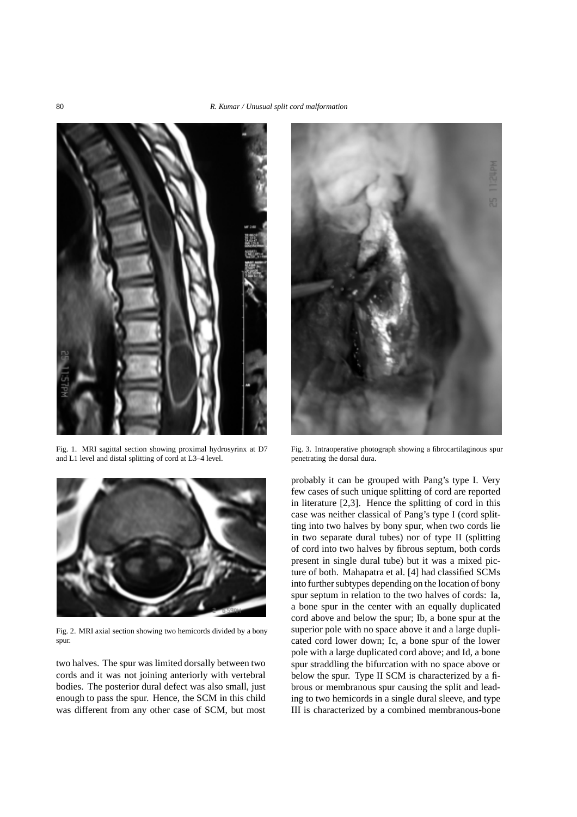

Fig. 1. MRI sagittal section showing proximal hydrosyrinx at D7 and L1 level and distal splitting of cord at L3–4 level.



Fig. 2. MRI axial section showing two hemicords divided by a bony spur.

two halves. The spur was limited dorsally between two cords and it was not joining anteriorly with vertebral bodies. The posterior dural defect was also small, just enough to pass the spur. Hence, the SCM in this child was different from any other case of SCM, but most



Fig. 3. Intraoperative photograph showing a fibrocartilaginous spur penetrating the dorsal dura.

probably it can be grouped with Pang's type I. Very few cases of such unique splitting of cord are reported in literature [2,3]. Hence the splitting of cord in this case was neither classical of Pang's type I (cord splitting into two halves by bony spur, when two cords lie in two separate dural tubes) nor of type II (splitting of cord into two halves by fibrous septum, both cords present in single dural tube) but it was a mixed picture of both. Mahapatra et al. [4] had classified SCMs into further subtypes depending on the location of bony spur septum in relation to the two halves of cords: Ia, a bone spur in the center with an equally duplicated cord above and below the spur; Ib, a bone spur at the superior pole with no space above it and a large duplicated cord lower down; Ic, a bone spur of the lower pole with a large duplicated cord above; and Id, a bone spur straddling the bifurcation with no space above or below the spur. Type II SCM is characterized by a fibrous or membranous spur causing the split and leading to two hemicords in a single dural sleeve, and type III is characterized by a combined membranous-bone